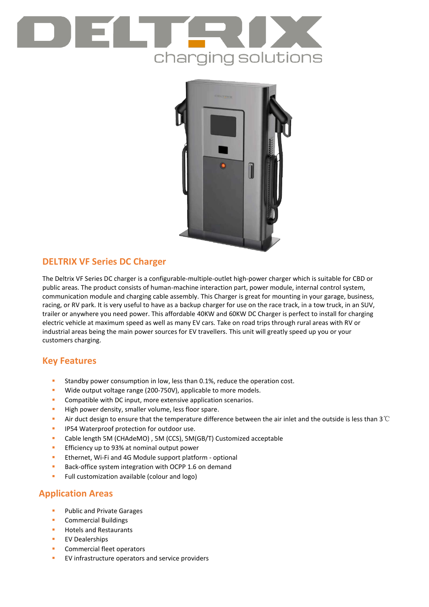



## **DELTRIX VF Series DC Charger**

The Deltrix VF Series DC charger is a configurable-multiple-outlet high-power charger which is suitable for CBD or public areas. The product consists of human-machine interaction part, power module, internal control system, communication module and charging cable assembly. This Charger is great for mounting in your garage, business, racing, or RV park. It is very useful to have as a backup charger for use on the race track, in a tow truck, in an SUV, trailer or anywhere you need power. This affordable 40KW and 60KW DC Charger is perfect to install for charging electric vehicle at maximum speed as well as many EV cars. Take on road trips through rural areas with RV or industrial areas being the main power sources for EV travellers. This unit will greatly speed up you or your customers charging.

# **Key Features**

- Standby power consumption in low, less than 0.1%, reduce the operation cost.
- **Wide output voltage range (200-750V), applicable to more models.**
- **Compatible with DC input, more extensive application scenarios.**
- High power density, smaller volume, less floor spare.
- Air duct design to ensure that the temperature difference between the air inlet and the outside is less than 3℃
- **IP54 Waterproof protection for outdoor use.**
- Cable length 5M (CHAdeMO) , 5M (CCS), 5M(GB/T) Customized acceptable
- **Efficiency up to 93% at nominal output power**
- Ethernet, Wi-Fi and 4G Module support platform optional
- Back-office system integration with OCPP 1.6 on demand
- **Full customization available (colour and logo)**

## **Application Areas**

- Public and Private Garages
- Commercial Buildings
- **Hotels and Restaurants**
- **EV Dealerships**
- **Commercial fleet operators**
- **EV** infrastructure operators and service providers